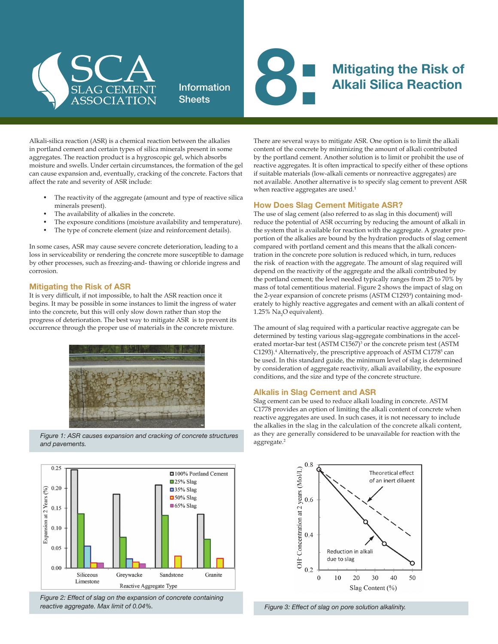

## **Information Sheets**



# Alkali Silica Reaction

Alkali-silica reaction (ASR) is a chemical reaction between the alkalies in portland cement and certain types of silica minerals present in some aggregates. The reaction product is a hygroscopic gel, which absorbs moisture and swells. Under certain circumstances, the formation of the gel can cause expansion and, eventually, cracking of the concrete. Factors that affect the rate and severity of ASR include:

- The reactivity of the aggregate (amount and type of reactive silica minerals present).
- The availability of alkalies in the concrete.
- The exposure conditions (moisture availability and temperature).
- The type of concrete element (size and reinforcement details).

In some cases, ASR may cause severe concrete deterioration, leading to a loss in serviceability or rendering the concrete more susceptible to damage by other processes, such as freezing-and- thawing or chloride ingress and corrosion.

#### Mitigating the Risk of ASR

It is very difficult, if not impossible, to halt the ASR reaction once it begins. It may be possible in some instances to limit the ingress of water into the concrete, but this will only slow down rather than stop the progress of deterioration. The best way to mitigate ASR is to prevent its occurrence through the proper use of materials in the concrete mixture.



*Figure 1: ASR causes expansion and cracking of concrete structures and pavements.*



*Figure 2: Effect of slag on the expansion of concrete containing reactive aggregate. Max limit of 0.04%.* 

There are several ways to mitigate ASR. One option is to limit the alkali content of the concrete by minimizing the amount of alkali contributed by the portland cement. Another solution is to limit or prohibit the use of reactive aggregates. It is often impractical to specify either of these options if suitable materials (low-alkali cements or nonreactive aggregates) are not available. Another alternative is to specify slag cement to prevent ASR when reactive aggregates are used.<sup>1</sup>

#### How Does Slag Cement Mitigate ASR?

The use of slag cement (also referred to as slag in this document) will reduce the potential of ASR occurring by reducing the amount of alkali in the system that is available for reaction with the aggregate. A greater proportion of the alkalies are bound by the hydration products of slag cement compared with portland cement and this means that the alkali concentration in the concrete pore solution is reduced which, in turn, reduces the risk of reaction with the aggregate. The amount of slag required will depend on the reactivity of the aggregate and the alkali contributed by the portland cement; the level needed typically ranges from 25 to 70% by mass of total cementitious material. Figure 2 shows the impact of slag on the 2-year expansion of concrete prisms (ASTM C1293<sup>4</sup>) containing moderately to highly reactive aggregates and cement with an alkali content of 1.25% Na<sub>2</sub>O equivalent).

The amount of slag required with a particular reactive aggregate can be determined by testing various slag-aggregate combinations in the accelerated mortar-bar test (ASTM C1567)<sup>3</sup> or the concrete prism test (ASTM C1293).<sup>4</sup> Alternatively, the prescriptive approach of ASTM C1778<sup>5</sup> can be used. In this standard guide, the minimum level of slag is determined by consideration of aggregate reactivity, alkali availability, the exposure conditions, and the size and type of the concrete structure.

### Alkalis in Slag Cement and ASR

Slag cement can be used to reduce alkali loading in concrete. ASTM C1778 provides an option of limiting the alkali content of concrete when reactive aggregates are used. In such cases, it is not necessary to include the alkalies in the slag in the calculation of the concrete alkali content, as they are generally considered to be unavailable for reaction with the aggregate.<sup>2</sup>



*Figure 3: Effect of slag on pore solution alkalinity.*